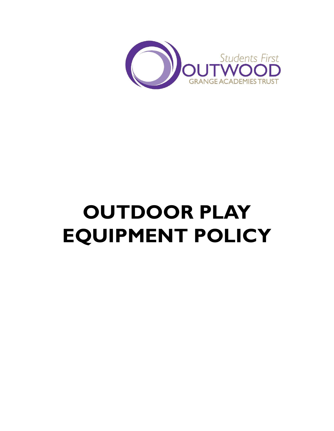

# **OUTDOOR PLAY EQUIPMENT POLICY**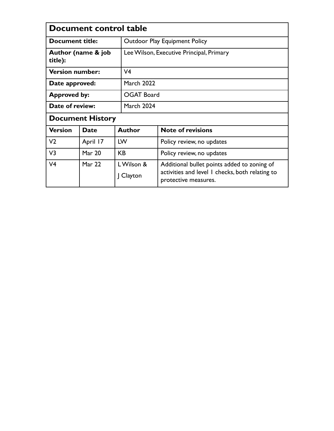| Document control table        |               |  |                                          |                                                                                                                        |  |  |
|-------------------------------|---------------|--|------------------------------------------|------------------------------------------------------------------------------------------------------------------------|--|--|
| Document title:               |               |  | <b>Outdoor Play Equipment Policy</b>     |                                                                                                                        |  |  |
| Author (name & job<br>title): |               |  | Lee Wilson, Executive Principal, Primary |                                                                                                                        |  |  |
| <b>Version number:</b>        |               |  | V <sub>4</sub>                           |                                                                                                                        |  |  |
| Date approved:                |               |  | <b>March 2022</b>                        |                                                                                                                        |  |  |
| <b>Approved by:</b>           |               |  | <b>OGAT Board</b>                        |                                                                                                                        |  |  |
| Date of review:               |               |  | <b>March 2024</b>                        |                                                                                                                        |  |  |
| <b>Document History</b>       |               |  |                                          |                                                                                                                        |  |  |
| <b>Version</b>                | <b>Date</b>   |  | <b>Author</b>                            | <b>Note of revisions</b>                                                                                               |  |  |
| V <sub>2</sub>                | April 17      |  | LW                                       | Policy review, no updates                                                                                              |  |  |
| V <sub>3</sub>                | <b>Mar 20</b> |  | KB.                                      | Policy review, no updates                                                                                              |  |  |
| V <sub>4</sub>                | Mar 22        |  | LWilson &<br>Clayton                     | Additional bullet points added to zoning of<br>activities and level 1 checks, both relating to<br>protective measures. |  |  |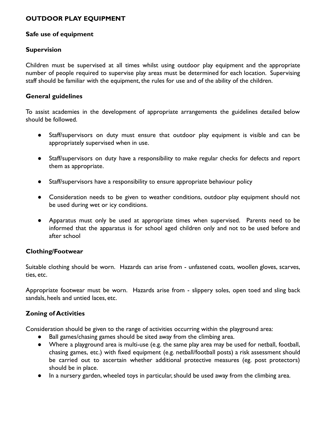# **OUTDOOR PLAY EQUIPMENT**

#### **Safe use of equipment**

#### **Supervision**

Children must be supervised at all times whilst using outdoor play equipment and the appropriate number of people required to supervise play areas must be determined for each location. Supervising staff should be familiar with the equipment, the rules for use and of the ability of the children.

#### **General guidelines**

To assist academies in the development of appropriate arrangements the guidelines detailed below should be followed.

- Staff/supervisors on duty must ensure that outdoor play equipment is visible and can be appropriately supervised when in use.
- Staff/supervisors on duty have a responsibility to make regular checks for defects and report them as appropriate.
- Staff/supervisors have a responsibility to ensure appropriate behaviour policy
- Consideration needs to be given to weather conditions, outdoor play equipment should not be used during wet or icy conditions.
- Apparatus must only be used at appropriate times when supervised. Parents need to be informed that the apparatus is for school aged children only and not to be used before and after school

# **Clothing/Footwear**

Suitable clothing should be worn. Hazards can arise from - unfastened coats, woollen gloves, scarves, ties, etc.

Appropriate footwear must be worn. Hazards arise from - slippery soles, open toed and sling back sandals, heels and untied laces, etc.

# **Zoning of Activities**

Consideration should be given to the range of activities occurring within the playground area:

- Ball games/chasing games should be sited away from the climbing area.
- Where a playground area is multi-use (e.g. the same play area may be used for netball, football, chasing games, etc.) with fixed equipment (e.g. netball/football posts) a risk assessment should be carried out to ascertain whether additional protective measures (eg. post protectors) should be in place.
- In a nursery garden, wheeled toys in particular, should be used away from the climbing area.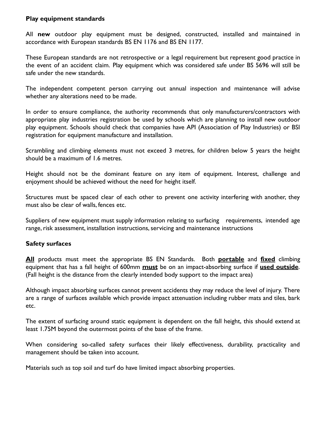#### **Play equipment standards**

All **new** outdoor play equipment must be designed, constructed, installed and maintained in accordance with European standards BS EN 1176 and BS EN 1177.

These European standards are not retrospective or a legal requirement but represent good practice in the event of an accident claim. Play equipment which was considered safe under BS 5696 will still be safe under the new standards.

The independent competent person carrying out annual inspection and maintenance will advise whether any alterations need to be made.

In order to ensure compliance, the authority recommends that only manufacturers/contractors with appropriate play industries registration be used by schools which are planning to install new outdoor play equipment. Schools should check that companies have API (Association of Play Industries) or BSI registration for equipment manufacture and installation.

Scrambling and climbing elements must not exceed 3 metres, for children below 5 years the height should be a maximum of 1.6 metres.

Height should not be the dominant feature on any item of equipment. Interest, challenge and enjoyment should be achieved without the need for height itself.

Structures must be spaced clear of each other to prevent one activity interfering with another, they must also be clear of walls, fences etc.

Suppliers of new equipment must supply information relating to surfacing requirements, intended age range, risk assessment, installation instructions, servicing and maintenance instructions

# **Safety surfaces**

**All** products must meet the appropriate BS EN Standards. Both **portable** and **fixed** climbing equipment that has a fall height of 600mm **must** be on an impact-absorbing surface if **used outside**. (Fall height is the distance from the clearly intended body support to the impact area)

Although impact absorbing surfaces cannot prevent accidents they may reduce the level of injury. There are a range of surfaces available which provide impact attenuation including rubber mats and tiles, bark etc.

The extent of surfacing around static equipment is dependent on the fall height, this should extend at least 1.75M beyond the outermost points of the base of the frame.

When considering so-called safety surfaces their likely effectiveness, durability, practicality and management should be taken into account.

Materials such as top soil and turf do have limited impact absorbing properties.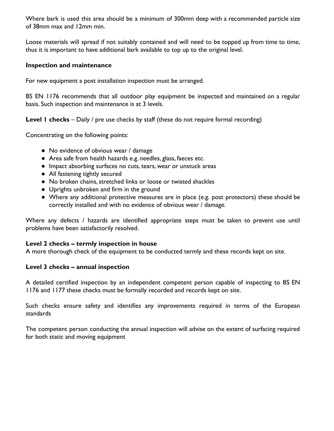Where bark is used this area should be a minimum of 300mm deep with a recommended particle size of 38mm max and 12mm min.

Loose materials will spread if not suitably contained and will need to be topped up from time to time, thus it is important to have additional bark available to top up to the original level.

#### **Inspection and maintenance**

For new equipment a post installation inspection must be arranged.

BS EN 1176 recommends that all outdoor play equipment be inspected and maintained on a regular basis. Such inspection and maintenance is at 3 levels.

**Level 1 checks** – Daily / pre use checks by staff (these do not require formal recording)

Concentrating on the following points:

- No evidence of obvious wear / damage
- Area safe from health hazards e.g. needles, glass, faeces etc.
- Impact absorbing surfaces no cuts, tears, wear or unstuck areas
- All fastening tightly secured
- No broken chains, stretched links or loose or twisted shackles
- Uprights unbroken and firm in the ground
- Where any additional protective measures are in place (e.g. post protectors) these should be correctly installed and with no evidence of obvious wear / damage.

Where any defects / hazards are identified appropriate steps must be taken to prevent use until problems have been satisfactorily resolved.

#### **Level 2 checks – termly inspection in house**

A more thorough check of the equipment to be conducted termly and these records kept on site.

#### **Level 3 checks – annual inspection**

A detailed certified inspection by an independent competent person capable of inspecting to BS EN 1176 and 1177 these checks must be formally recorded and records kept on site.

Such checks ensure safety and identifies any improvements required in terms of the European standards

The competent person conducting the annual inspection will advise on the extent of surfacing required for both static and moving equipment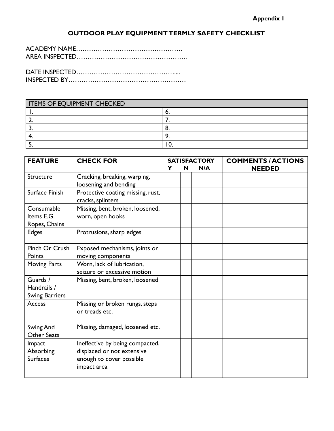# **OUTDOOR PLAY EQUIPMENT TERMLY SAFETY CHECKLIST**

DATE INSPECTED……………………………………….... INSPECTED BY………………………………………………

| <b>ITEMS OF EQUIPMENT CHECKED</b> |   |  |  |  |
|-----------------------------------|---|--|--|--|
|                                   |   |  |  |  |
|                                   |   |  |  |  |
|                                   |   |  |  |  |
|                                   |   |  |  |  |
|                                   | u |  |  |  |

| <b>FEATURE</b>                                   | <b>CHECK FOR</b>                                                                                         |   |   | <b>SATISFACTORY</b> | <b>COMMENTS / ACTIONS</b> |  |
|--------------------------------------------------|----------------------------------------------------------------------------------------------------------|---|---|---------------------|---------------------------|--|
|                                                  |                                                                                                          | Y | N | N/A                 | <b>NEEDED</b>             |  |
| Structure                                        | Cracking, breaking, warping,<br>loosening and bending                                                    |   |   |                     |                           |  |
| Surface Finish                                   | Protective coating missing, rust,<br>cracks, splinters                                                   |   |   |                     |                           |  |
| Consumable<br>Items E.G.<br>Ropes, Chains        | Missing, bent, broken, loosened,<br>worn, open hooks                                                     |   |   |                     |                           |  |
| <b>Edges</b>                                     | Protrusions, sharp edges                                                                                 |   |   |                     |                           |  |
| Pinch Or Crush<br>Points                         | Exposed mechanisms, joints or<br>moving components                                                       |   |   |                     |                           |  |
| <b>Moving Parts</b>                              | Worn, lack of lubrication,<br>seizure or excessive motion                                                |   |   |                     |                           |  |
| Guards /<br>Handrails /<br><b>Swing Barriers</b> | Missing, bent, broken, loosened                                                                          |   |   |                     |                           |  |
| <b>Access</b>                                    | Missing or broken rungs, steps<br>or treads etc.                                                         |   |   |                     |                           |  |
| Swing And<br><b>Other Seats</b>                  | Missing, damaged, loosened etc.                                                                          |   |   |                     |                           |  |
| Impact<br>Absorbing<br><b>Surfaces</b>           | Ineffective by being compacted,<br>displaced or not extensive<br>enough to cover possible<br>impact area |   |   |                     |                           |  |